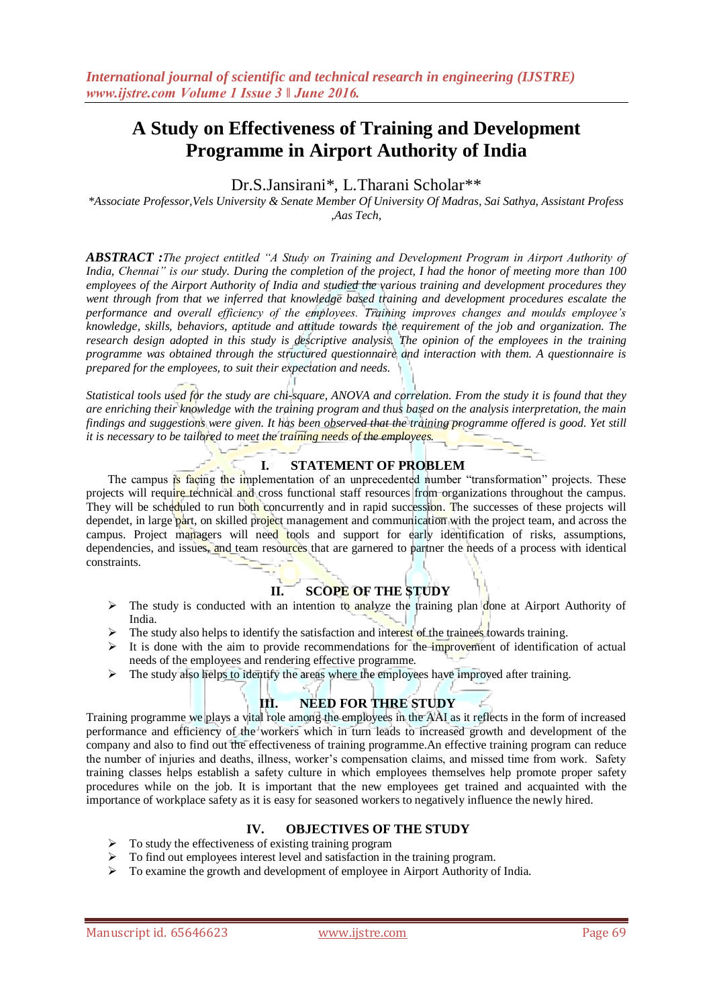# **A Study on Effectiveness of Training and Development Programme in Airport Authority of India**

# Dr.S.Jansirani\*, L.Tharani Scholar\*\*

*\*Associate Professor,Vels University & Senate Member Of University Of Madras, Sai Sathya, Assistant Profess ,Aas Tech,*

*ABSTRACT :The project entitled "A Study on Training and Development Program in Airport Authority of India, Chennai" is our study. During the completion of the project, I had the honor of meeting more than 100 employees of the Airport Authority of India and studied the various training and development procedures they went through from that we inferred that knowledge based training and development procedures escalate the performance and overall efficiency of the employees. Training improves changes and moulds employee's knowledge, skills, behaviors, aptitude and attitude towards the requirement of the job and organization. The research design adopted in this study is descriptive analysis. The opinion of the employees in the training programme was obtained through the structured questionnaire and interaction with them. A questionnaire is prepared for the employees, to suit their expectation and needs.*

*Statistical tools used for the study are chi-square, ANOVA and correlation. From the study it is found that they are enriching their knowledge with the training program and thus based on the analysis interpretation, the main findings and suggestions were given. It has been observed that the training programme offered is good. Yet still it is necessary to be tailored to meet the training needs of the employees.*

### **I. STATEMENT OF PROBLEM**

The campus is facing the implementation of an unprecedented number "transformation" projects. These projects will require technical and cross functional staff resources from organizations throughout the campus. They will be scheduled to run both concurrently and in rapid succession. The successes of these projects will dependet, in large part, on skilled project management and communication with the project team, and across the campus. Project managers will need tools and support for early identification of risks, assumptions, dependencies, and issues, and team resources that are garnered to partner the needs of a process with identical constraints.

### **II. SCOPE OF THE STUDY**

- $\triangleright$  The study is conducted with an intention to analyze the training plan done at Airport Authority of India.
- $\triangleright$  The study also helps to identify the satisfaction and interest of the trainees towards training.
- $\triangleright$  It is done with the aim to provide recommendations for the improvement of identification of actual needs of the employees and rendering effective programme.
- $\triangleright$  The study also helps to identify the areas where the employees have improved after training.

### **III. NEED FOR THRE STUDY**

Training programme we plays a vital role among the employees in the AAI as it reflects in the form of increased performance and efficiency of the workers which in turn leads to increased growth and development of the company and also to find out the effectiveness of training programme.An effective training program can reduce the number of injuries and deaths, illness, worker"s compensation claims, and missed time from work. Safety training classes helps establish a safety culture in which employees themselves help promote proper safety procedures while on the job. It is important that the new employees get trained and acquainted with the importance of workplace safety as it is easy for seasoned workers to negatively influence the newly hired.

# **IV. OBJECTIVES OF THE STUDY**

- $\triangleright$  To study the effectiveness of existing training program
- $\triangleright$  To find out employees interest level and satisfaction in the training program.
- To examine the growth and development of employee in Airport Authority of India.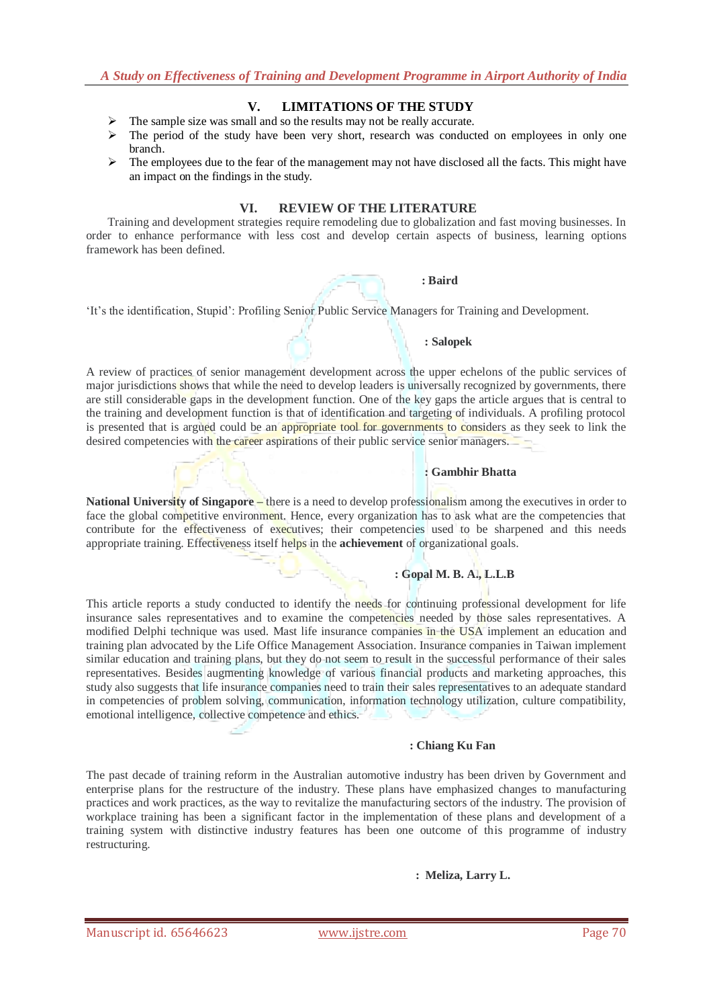# **V. LIMITATIONS OF THE STUDY**

- $\triangleright$  The sample size was small and so the results may not be really accurate.
- $\triangleright$  The period of the study have been very short, research was conducted on employees in only one branch.
- $\triangleright$  The employees due to the fear of the management may not have disclosed all the facts. This might have an impact on the findings in the study.

### **VI. REVIEW OF THE LITERATURE**

Training and development strategies require remodeling due to globalization and fast moving businesses. In order to enhance performance with less cost and develop certain aspects of business, learning options framework has been defined.



"It"s the identification, Stupid": Profiling Senior Public Service Managers for Training and Development.

#### **: Salopek**

A review of practices of senior management development across the upper echelons of the public services of major jurisdictions shows that while the need to develop leaders is universally recognized by governments, there are still considerable gaps in the development function. One of the key gaps the article argues that is central to the training and development function is that of identification and targeting of individuals. A profiling protocol is presented that is argued could be an appropriate tool for governments to considers as they seek to link the desired competencies with the career aspirations of their public service senior managers.

#### **: Gambhir Bhatta**

**National University of Singapore –** there is a need to develop professionalism among the executives in order to face the global competitive environment. Hence, every organization has to ask what are the competencies that contribute for the effectiveness of executives; their competencies used to be sharpened and this needs appropriate training. Effectiveness itself helps in the **achievement** of organizational goals.

### **: Gopal M. B. A., L.L.B**

This article reports a study conducted to identify the needs for continuing professional development for life insurance sales representatives and to examine the competencies needed by those sales representatives. A modified Delphi technique was used. Mast life insurance companies in the USA implement an education and training plan advocated by the Life Office Management Association. Insurance companies in Taiwan implement similar education and training plans, but they do not seem to result in the successful performance of their sales representatives. Besides augmenting knowledge of various financial products and marketing approaches, this study also suggests that life insurance companies need to train their sales representatives to an adequate standard in competencies of problem solving, communication, information technology utilization, culture compatibility, emotional intelligence, collective competence and ethics.

#### **: Chiang Ku Fan**

The past decade of training reform in the Australian automotive industry has been driven by Government and enterprise plans for the restructure of the industry. These plans have emphasized changes to manufacturing practices and work practices, as the way to revitalize the manufacturing sectors of the industry. The provision of workplace training has been a significant factor in the implementation of these plans and development of a training system with distinctive industry features has been one outcome of this programme of industry restructuring.

#### **: Meliza, Larry L.**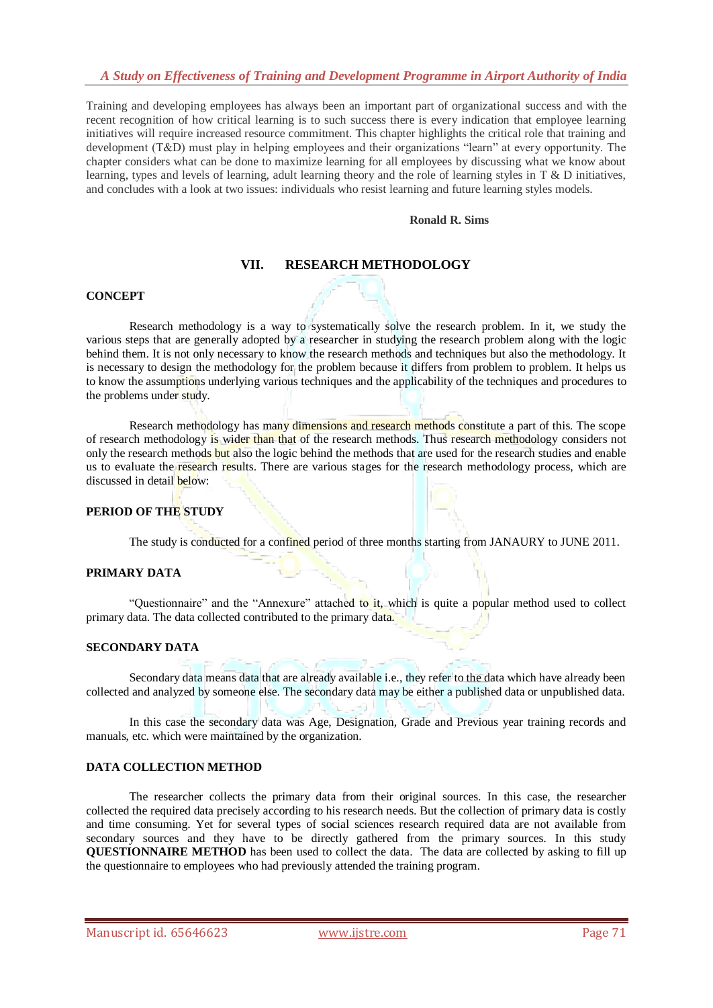Training and developing employees has always been an important part of organizational success and with the recent recognition of how critical learning is to such success there is every indication that employee learning initiatives will require increased resource commitment. This chapter highlights the critical role that training and development (T&D) must play in helping employees and their organizations "learn" at every opportunity. The chapter considers what can be done to maximize learning for all employees by discussing what we know about learning, types and levels of learning, adult learning theory and the role of learning styles in T & D initiatives, and concludes with a look at two issues: individuals who resist learning and future learning styles models.

#### **Ronald R. Sims**

### **VII. RESEARCH METHODOLOGY**

#### **CONCEPT**

Research methodology is a way to systematically solve the research problem. In it, we study the various steps that are generally adopted by a researcher in studying the research problem along with the logic behind them. It is not only necessary to know the research methods and techniques but also the methodology. It is necessary to design the methodology for the problem because it differs from problem to problem. It helps us to know the assumptions underlying various techniques and the applicability of the techniques and procedures to the problems under study.

Research methodology has many dimensions and research methods constitute a part of this. The scope of research methodology is wider than that of the research methods. Thus research methodology considers not only the research methods but also the logic behind the methods that are used for the research studies and enable us to evaluate the research results. There are various stages for the research methodology process, which are discussed in detail **below**:

### **PERIOD OF THE STUDY**

The study is conducted for a confined period of three months starting from JANAURY to JUNE 2011.

### **PRIMARY DATA**

"Questionnaire" and the "Annexure" attached to it, which is quite a popular method used to collect primary data. The data collected contributed to the primary data.

### **SECONDARY DATA**

Secondary data means data that are already available i.e., they refer to the data which have already been collected and analyzed by someone else. The secondary data may be either a published data or unpublished data.

In this case the secondary data was Age, Designation, Grade and Previous year training records and manuals, etc. which were maintained by the organization.

#### **DATA COLLECTION METHOD**

The researcher collects the primary data from their original sources. In this case, the researcher collected the required data precisely according to his research needs. But the collection of primary data is costly and time consuming. Yet for several types of social sciences research required data are not available from secondary sources and they have to be directly gathered from the primary sources. In this study **QUESTIONNAIRE METHOD** has been used to collect the data. The data are collected by asking to fill up the questionnaire to employees who had previously attended the training program.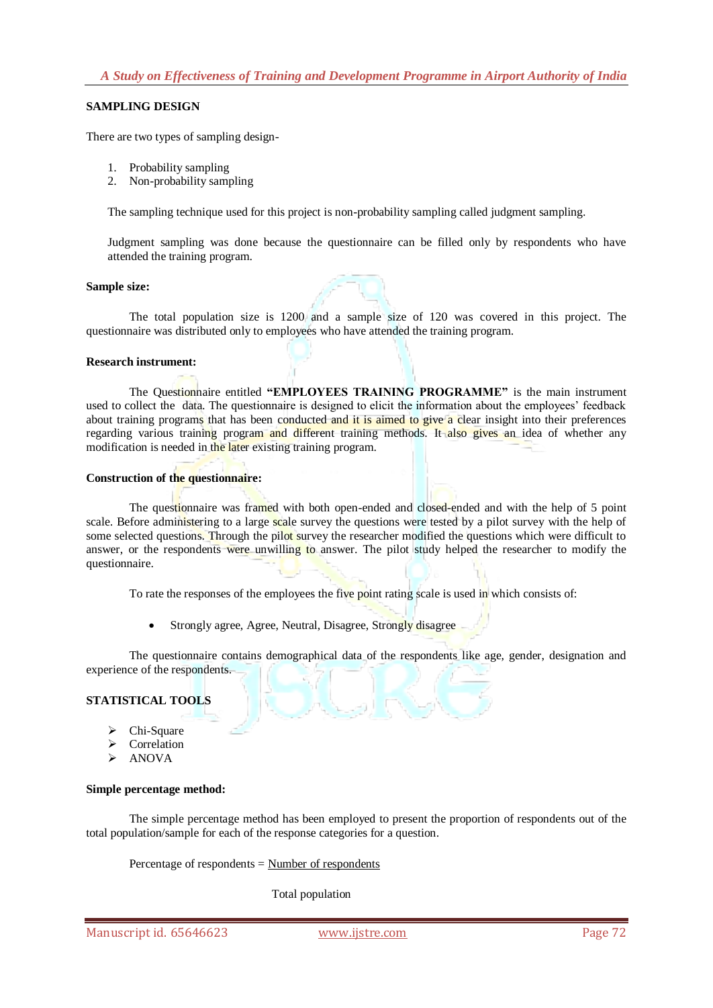#### **SAMPLING DESIGN**

There are two types of sampling design-

- 1. Probability sampling
- 2. Non-probability sampling

The sampling technique used for this project is non-probability sampling called judgment sampling.

Judgment sampling was done because the questionnaire can be filled only by respondents who have attended the training program.

#### **Sample size:**

The total population size is 1200 and a sample size of 120 was covered in this project. The questionnaire was distributed only to employees who have attended the training program.

#### **Research instrument:**

The Questionnaire entitled **"EMPLOYEES TRAINING PROGRAMME"** is the main instrument used to collect the data. The questionnaire is designed to elicit the information about the employees' feedback about training programs that has been conducted and it is aimed to give a clear insight into their preferences regarding various training program and different training methods. It also gives an idea of whether any modification is needed in the later existing training program.

#### **Construction of the questionnaire:**

The questionnaire was framed with both open-ended and closed-ended and with the help of 5 point scale. Before administering to a large scale survey the questions were tested by a pilot survey with the help of some selected questions. Through the pilot survey the researcher modified the questions which were difficult to answer, or the respondents were unwilling to answer. The pilot study helped the researcher to modify the questionnaire.

To rate the responses of the employees the five point rating scale is used in which consists of:

Strongly agree, Agree, Neutral, Disagree, Strongly disagree

The questionnaire contains demographical data of the respondents like age, gender, designation and experience of the respondents.

# **STATISTICAL TOOLS**

- Chi-Square
- Correlation
- ANOVA

#### **Simple percentage method:**

The simple percentage method has been employed to present the proportion of respondents out of the total population/sample for each of the response categories for a question.

Percentage of respondents = Number of respondents

Total population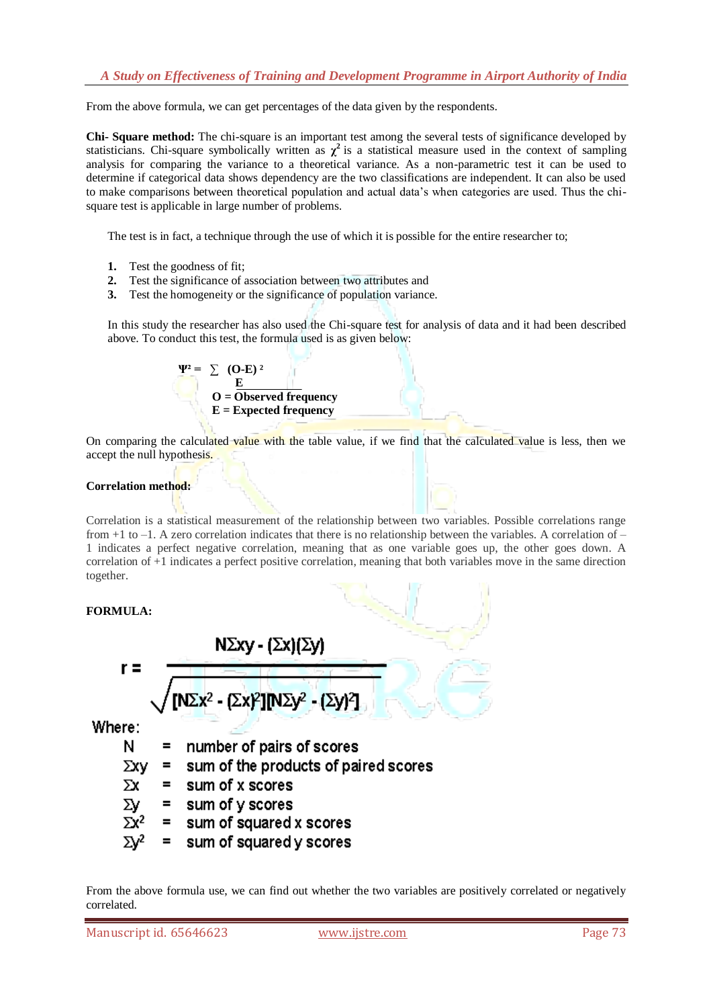From the above formula, we can get percentages of the data given by the respondents.

**Chi- Square method:** The chi-square is an important test among the several tests of significance developed by statisticians. Chi-square symbolically written as  $\chi^2$  is a statistical measure used in the context of sampling analysis for comparing the variance to a theoretical variance. As a non-parametric test it can be used to determine if categorical data shows dependency are the two classifications are independent. It can also be used to make comparisons between theoretical population and actual data"s when categories are used. Thus the chisquare test is applicable in large number of problems.

The test is in fact, a technique through the use of which it is possible for the entire researcher to;

- **1.** Test the goodness of fit;
- **2.** Test the significance of association between two attributes and
- **3.** Test the homogeneity or the significance of population variance.

In this study the researcher has also used the Chi-square test for analysis of data and it had been described above. To conduct this test, the formula used is as given below:

$$
\Psi^2 = \sum (O-E)^2
$$
  
 
$$
O = Observed frequency
$$
  
 
$$
E = Expected frequency
$$

On comparing the calculated value with the table value, if we find that the calculated value is less, then we accept the null hypothesis.

### **Correlation method:**

Correlation is a statistical measurement of the relationship between two variables. Possible correlations range from  $+1$  to  $-1$ . A zero correlation indicates that there is no relationship between the variables. A correlation of  $-$ 1 indicates a perfect negative correlation, meaning that as one variable goes up, the other goes down. A correlation of +1 indicates a perfect positive correlation, meaning that both variables move in the same direction together.

### **FORMULA:**

$$
I = \frac{N\Sigma xy - (\Sigma x)(\Sigma y)}{\sqrt{[N\Sigma x^{2} - (\Sigma x)^{2}] [N\Sigma y^{2} - (\Sigma y)^{2}]}}
$$
  
Here:  
N = number of pairs of scores

Whe

 $\Sigma xy =$  sum of the products of paired scores

 $=$  sum of x scores Σх

Σу  $=$  sum of y scores

- $\Sigma x^2$  $=$  sum of squared x scores
- sum of squared y scores  $=$

From the above formula use, we can find out whether the two variables are positively correlated or negatively correlated.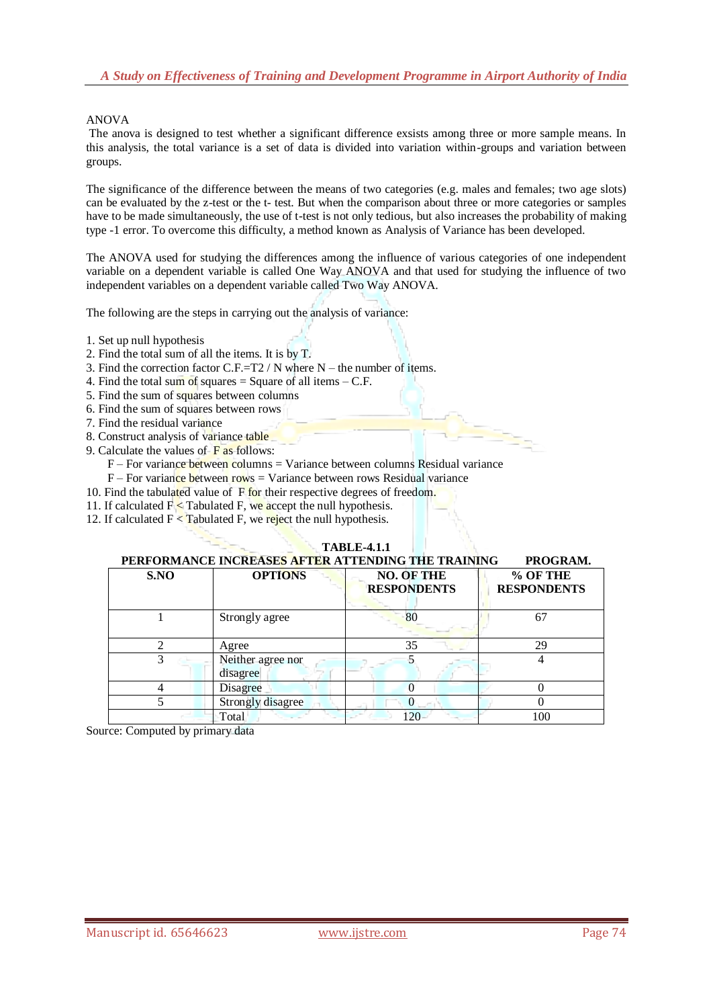### ANOVA

The anova is designed to test whether a significant difference exsists among three or more sample means. In this analysis, the total variance is a set of data is divided into variation within-groups and variation between groups.

The significance of the difference between the means of two categories (e.g. males and females; two age slots) can be evaluated by the z-test or the t- test. But when the comparison about three or more categories or samples have to be made simultaneously, the use of t-test is not only tedious, but also increases the probability of making type -1 error. To overcome this difficulty, a method known as Analysis of Variance has been developed.

The ANOVA used for studying the differences among the influence of various categories of one independent variable on a dependent variable is called One Way ANOVA and that used for studying the influence of two independent variables on a dependent variable called Two Way ANOVA.

The following are the steps in carrying out the analysis of variance:

- 1. Set up null hypothesis
- 2. Find the total sum of all the items. It is by T.
- 3. Find the correction factor C.F.=T2 / N where N the number of items.
- 4. Find the total sum of squares  $=$  Square of all items  $-$  C.F.
- 5. Find the sum of squares between columns
- 6. Find the sum of squares between rows
- 7. Find the residual variance
- 8. Construct analysis of variance table
- 9. Calculate the values of  $\overline{F}$  as follows:
	- F For variance between columns = Variance between columns Residual variance
	- $F$  For variance between rows = Variance between rows Residual variance
- 10. Find the tabulated value of  $\overline{F}$  for their respective degrees of freedom.
- 11. If calculated  $F \leq$  Tabulated F, we accept the null hypothesis.
- 12. If calculated  $F <$  Tabulated F, we reject the null hypothesis.

#### **TABLE-4.1.1**

### **PERFORMANCE INCREASES AFTER ATTENDING THE TRAINING PROGRAM.**

| S.NO | <b>OPTIONS</b>                | <b>NO. OF THE</b><br><b>RESPONDENTS</b> | % OF THE<br><b>RESPONDENTS</b> |
|------|-------------------------------|-----------------------------------------|--------------------------------|
|      | Strongly agree                | 80                                      | 6 <sup>7</sup>                 |
|      | Agree                         | 35                                      |                                |
|      | Neither agree nor<br>disagree |                                         |                                |
|      | Disagree                      |                                         |                                |
|      | Strongly disagree             |                                         |                                |
|      | Total                         | 20                                      | 100                            |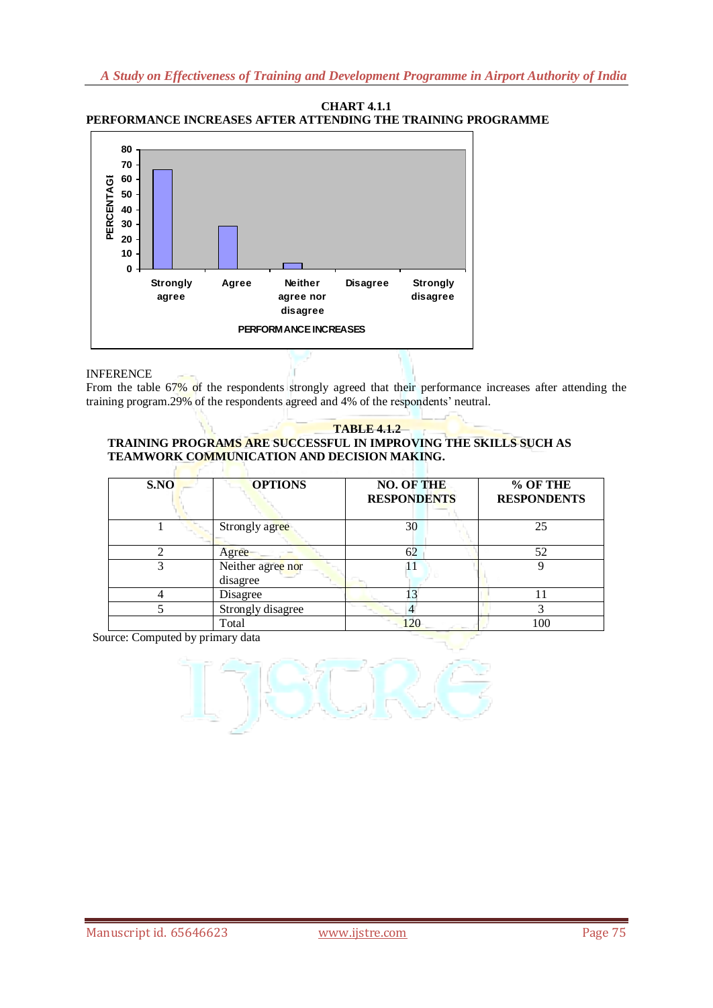



# INFERENCE

From the table 67% of the respondents strongly agreed that their performance increases after attending the training program.29% of the respondents agreed and 4% of the respondents' neutral.

#### **TABLE 4.1.2 TRAINING PROGRAMS ARE SUCCESSFUL IN IMPROVING THE SKILLS SUCH AS TEAMWORK COMMUNICATION AND DECISION MAKING.**

| S.NO  | <b>OPTIONS</b>                | <b>NO. OF THE</b><br><b>RESPONDENTS</b> | % OF THE<br><b>RESPONDENTS</b> |
|-------|-------------------------------|-----------------------------------------|--------------------------------|
|       | Strongly agree                | 30                                      | 25                             |
|       | 62<br>Agree                   |                                         | 52                             |
|       | Neither agree nor<br>disagree | 11                                      |                                |
|       | Disagree                      | 13                                      | 11                             |
|       | Strongly disagree             |                                         |                                |
| Total |                               | 120                                     | 100                            |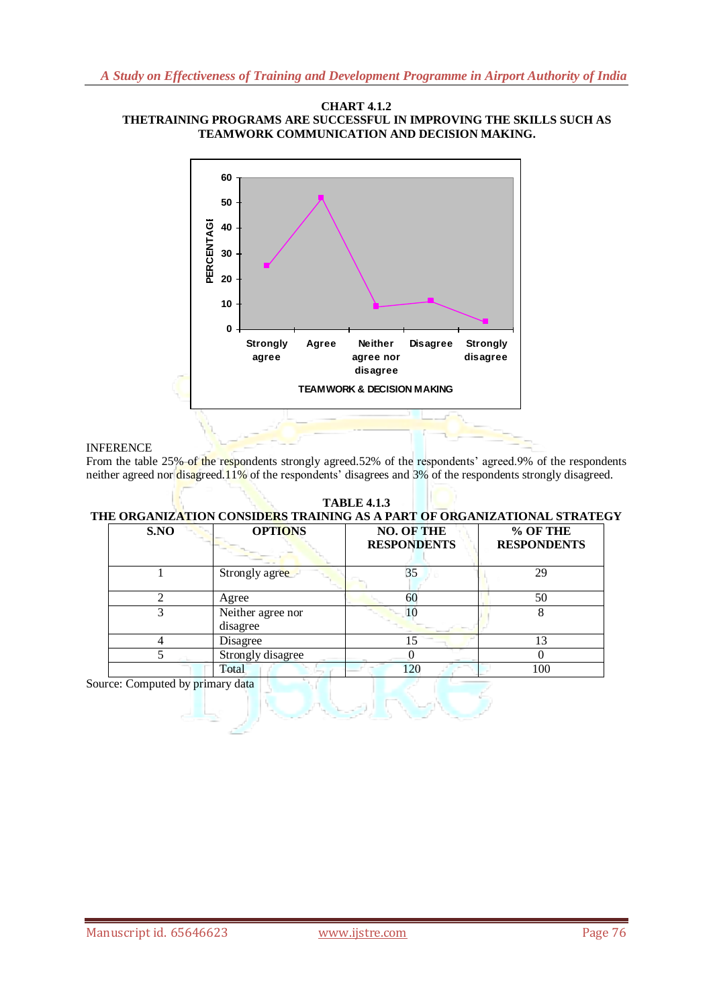#### **CHART 4.1.2 THETRAINING PROGRAMS ARE SUCCESSFUL IN IMPROVING THE SKILLS SUCH AS TEAMWORK COMMUNICATION AND DECISION MAKING.**



### INFERENCE

From the table 25% of the respondents strongly agreed.52% of the respondents' agreed.9% of the respondents neither agreed nor  $disagreed.11\%$  of the respondents' disagrees and 3% of the respondents strongly disagreed.

#### **TABLE 4.1.3 THE ORGANIZATION CONSIDERS TRAINING AS A PART OF ORGANIZATIONAL STRATEGY S.NO OPTIONS NO. OF THE RESPONDENTS % OF THE RESPONDENTS** 1 Strongly agree 35 35 29 2 Agree 60 50 3 Neither agree nor disagree 10 8 4 Disagree 15 13 5 Strongly disagree 0 0 0 0 Total 120 100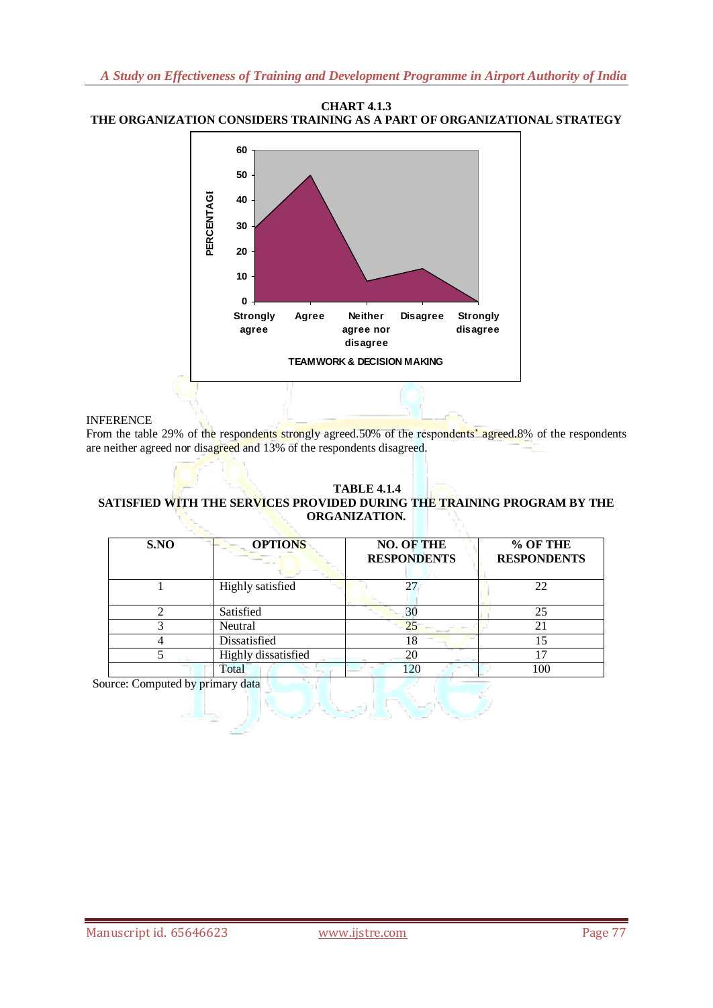### **CHART 4.1.3 THE ORGANIZATION CONSIDERS TRAINING AS A PART OF ORGANIZATIONAL STRATEGY**



### INFERENCE

From the table 29% of the respondents strongly agreed.50% of the respondents' agreed.8% of the respondents are neither agreed nor disagreed and 13% of the respondents disagreed.

### **TABLE 4.1.4 SATISFIED WITH THE SERVICES PROVIDED DURING THE TRAINING PROGRAM BY THE ORGANIZATION.**

| S.NO | <b>OPTIONS</b>      | <b>NO. OF THE</b><br><b>RESPONDENTS</b> | % OF THE<br><b>RESPONDENTS</b> |
|------|---------------------|-----------------------------------------|--------------------------------|
|      | Highly satisfied    | 27                                      | 22                             |
|      | Satisfied           | 30                                      | 25                             |
|      | Neutral             | 25                                      | 21                             |
|      | Dissatisfied        | 18                                      |                                |
|      | Highly dissatisfied | 20                                      | $\overline{ }$                 |
|      | Total               | 120                                     |                                |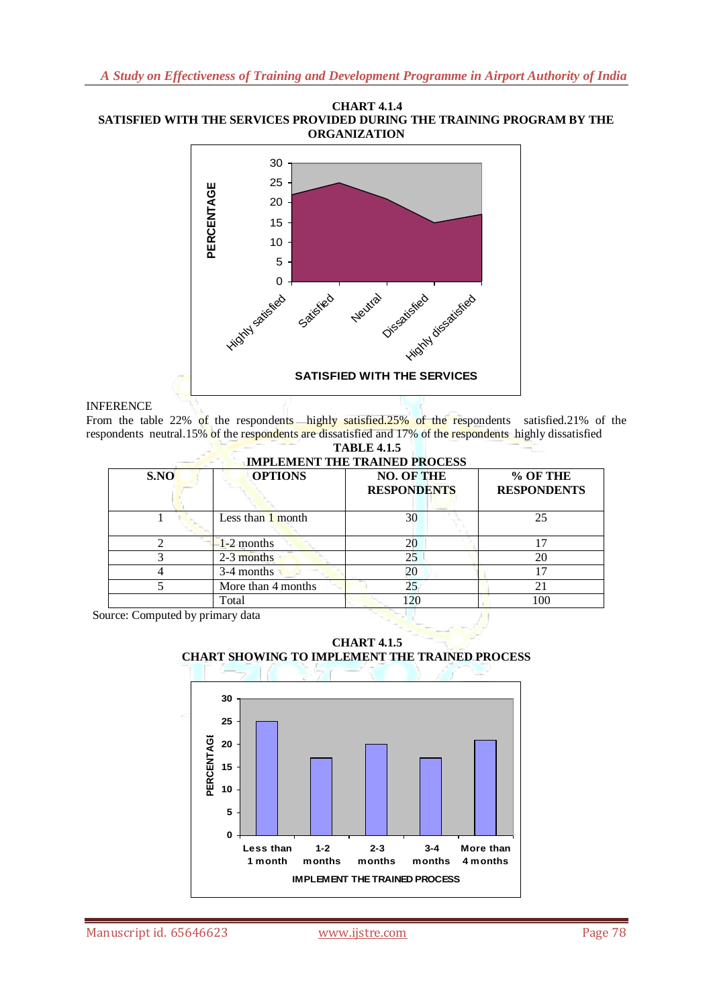#### **CHART 4.1.4 SATISFIED WITH THE SERVICES PROVIDED DURING THE TRAINING PROGRAM BY THE ORGANIZATION**



### INFERENCE

From the table 22% of the respondents highly satisfied.25% of the respondents satisfied.21% of the respondents neutral.15% of the respondents are dissatisfied and 17% of the respondents highly dissatisfied

| <b>TABLE 4.1.5</b>                   |  |
|--------------------------------------|--|
| <b>IMPLEMENT THE TRAINED PROCESS</b> |  |

| S.NO | <b>OPTIONS</b>      | <b>NO. OF THE</b><br><b>RESPONDENTS</b> | % OF THE<br><b>RESPONDENTS</b> |  |
|------|---------------------|-----------------------------------------|--------------------------------|--|
|      | Less than $1$ month | 30                                      | 25                             |  |
|      | $1-2$ months        | 20                                      | 17                             |  |
| 3    | 2-3 months          | 25                                      | 20                             |  |
|      | 3-4 months          | 20                                      | 17                             |  |
|      | More than 4 months  | 25                                      | 21                             |  |
|      | Total               | 120                                     | 100                            |  |

Source: Computed by primary data





Manuscript id. 65646623 www.ijstre.com Page 78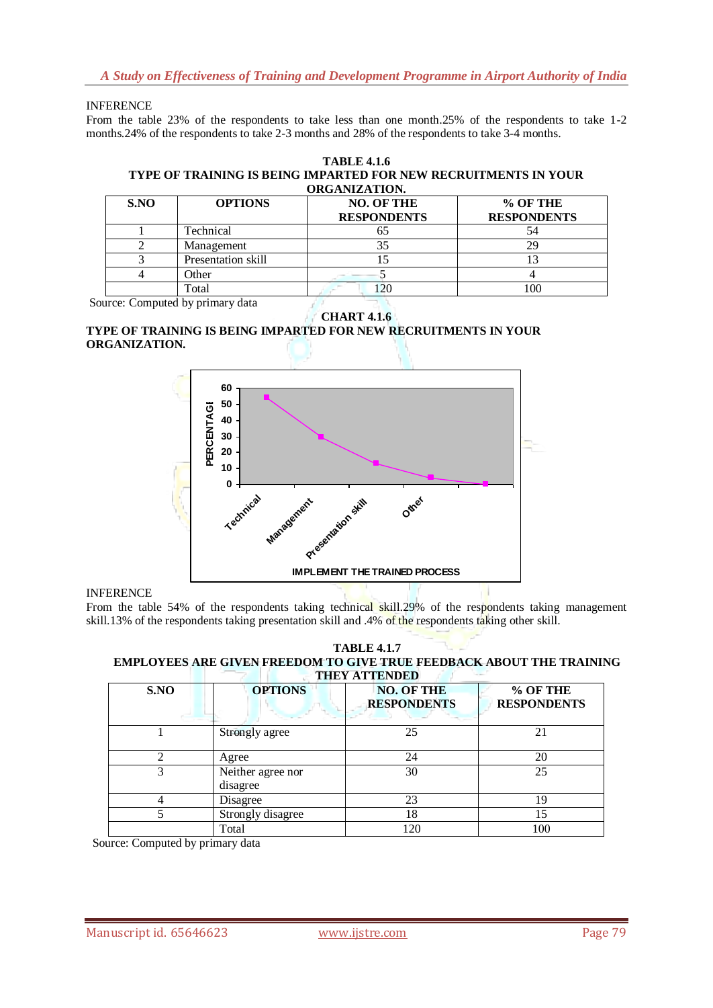*A Study on Effectiveness of Training and Development Programme in Airport Authority of India*

### INFERENCE

From the table 23% of the respondents to take less than one month.25% of the respondents to take 1-2 months.24% of the respondents to take 2-3 months and 28% of the respondents to take 3-4 months.

#### **TABLE 4.1.6 TYPE OF TRAINING IS BEING IMPARTED FOR NEW RECRUITMENTS IN YOUR ORGANIZATION.**

| S.NO | <b>OPTIONS</b>     | <b>NO. OF THE</b><br><b>RESPONDENTS</b> | % OF THE<br><b>RESPONDENTS</b> |
|------|--------------------|-----------------------------------------|--------------------------------|
|      | Technical          |                                         |                                |
|      | Management         |                                         |                                |
|      | Presentation skill |                                         |                                |
|      | <b>Other</b>       |                                         |                                |
|      | Total              | 20                                      | 0 <sup>0</sup>                 |

Source: Computed by primary data

**CHART 4.1.6**

#### **TYPE OF TRAINING IS BEING IMPARTED FOR NEW RECRUITMENTS IN YOUR ORGANIZATION.**



#### INFERENCE

From the table 54% of the respondents taking technical skill.29% of the respondents taking management skill.13% of the respondents taking presentation skill and .4% of the respondents taking other skill.

#### **TABLE 4.1.7 EMPLOYEES ARE GIVEN FREEDOM TO GIVE TRUE FEEDBACK ABOUT THE TRAINING THEY ATTENDED**

| S.NO | <b>OPTIONS</b>                | <b>NO. OF THE</b><br><b>RESPONDENTS</b> |     |
|------|-------------------------------|-----------------------------------------|-----|
|      | Strongly agree                | 25                                      | 21  |
|      | Agree                         | 24                                      |     |
|      | Neither agree nor<br>disagree | 30                                      | 25  |
|      | 23<br>Disagree                |                                         | 19  |
|      | Strongly disagree             | 18                                      |     |
|      | 120<br>Total                  |                                         | 100 |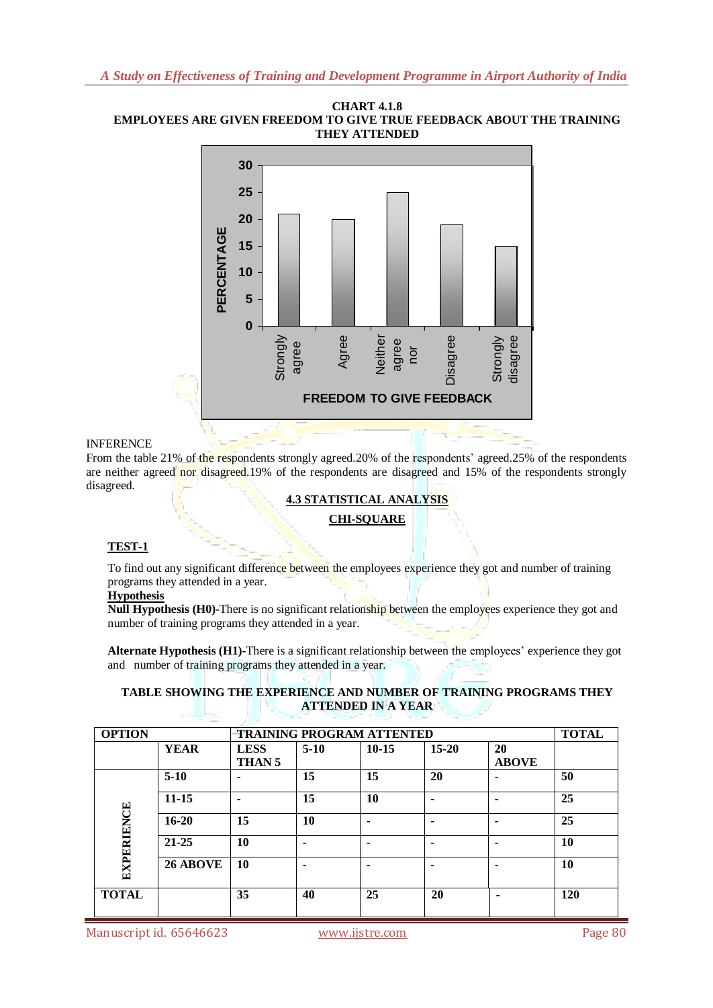



### INFERENCE

From the table 21% of the respondents strongly agreed.20% of the respondents' agreed.25% of the respondents are neither agreed nor disagreed.19% of the respondents are disagreed and 15% of the respondents strongly disagreed.

### **4.3 STATISTICAL ANALYSIS**

# **CHI-SQUARE**

### **TEST-1**

To find out any significant difference between the employees experience they got and number of training programs they attended in a year.

### **Hypothesis**

**Null Hypothesis (H0)-There is no significant relationship between the employees experience they got and** number of training programs they attended in a year.

**Alternate Hypothesis (H1)-**There is a significant relationship between the employees" experience they got and number of training programs they attended in a year.

### **TABLE SHOWING THE EXPERIENCE AND NUMBER OF TRAINING PROGRAMS THEY ATTENDED IN A YEAR**

| <b>OPTION</b>     |             | <b>TRAINING PROGRAM ATTENTED</b> |        |         |                |                    | <b>TOTAL</b> |
|-------------------|-------------|----------------------------------|--------|---------|----------------|--------------------|--------------|
|                   | <b>YEAR</b> | <b>LESS</b><br>THAN <sub>5</sub> | $5-10$ | $10-15$ | $15 - 20$      | 20<br><b>ABOVE</b> |              |
|                   | $5-10$      | -                                | 15     | 15      | 20             |                    | 50           |
|                   | $11 - 15$   |                                  | 15     | 10      | $\blacksquare$ |                    | 25           |
|                   | $16 - 20$   | 15                               | 10     |         | ۰              |                    | 25           |
|                   | $21 - 25$   | 10                               |        |         | ٠              |                    | 10           |
| <b>EXPERIENCE</b> | 26 ABOVE    | 10                               |        |         |                |                    | 10           |
| <b>TOTAL</b>      |             | 35                               | 40     | 25      | 20             | ٠                  | 120          |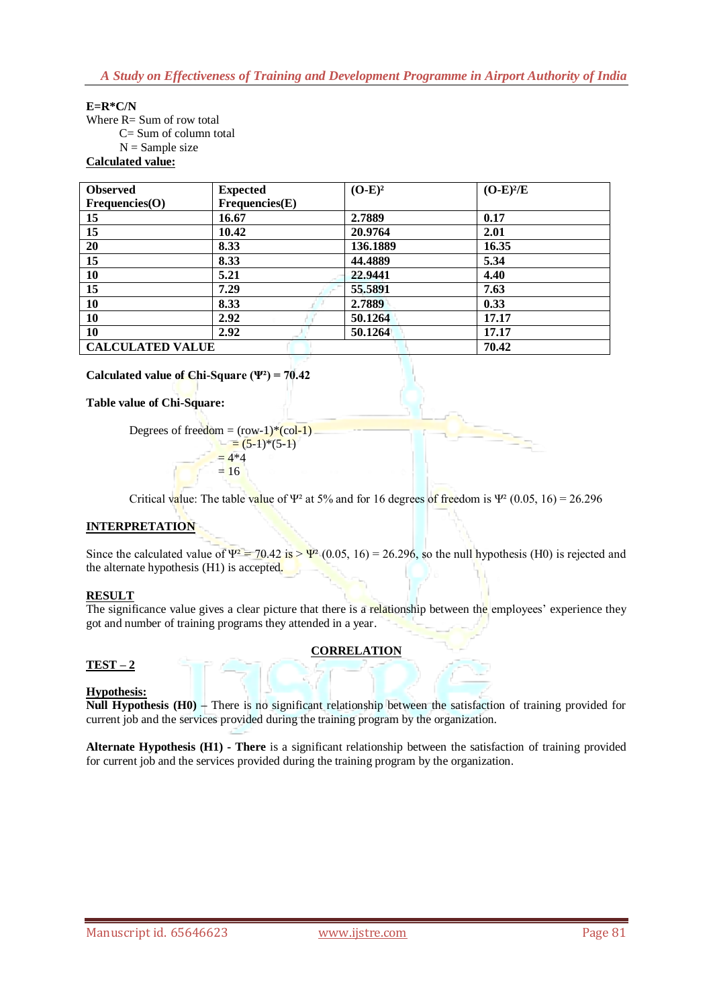# **E=R\*C/N**

Where R= Sum of row total C= Sum of column total  $N =$  Sample size **Calculated value:**

| <b>Observed</b>         | <b>Expected</b> | $(O-E)^2$ | $(O-E)^2/E$ |
|-------------------------|-----------------|-----------|-------------|
| Frequencies(O)          | Frequencies(E)  |           |             |
| 15                      | 16.67           | 2.7889    | 0.17        |
| 15                      | 10.42           | 20.9764   | 2.01        |
| 20                      | 8.33            | 136.1889  | 16.35       |
| 15                      | 8.33            | 44.4889   | 5.34        |
| 10                      | 5.21            | 22.9441   | 4.40        |
| 15                      | 7.29            | 55.5891   | 7.63        |
| 10                      | 8.33            | 2.7889    | 0.33        |
| 10                      | 2.92            | 50.1264   | 17.17       |
| 10                      | 2.92            | 50.1264   | 17.17       |
| <b>CALCULATED VALUE</b> | 70.42           |           |             |

**Calculated value of Chi-Square (Ψ²) = 70.42**

### **Table value of Chi-Square:**

Degrees of freedom =  $(row-1)*(col-1)$  $= (5-1)*(5-1)$  $= 4*4$  $= 16$ 

Critical value: The table value of Ψ<sup>2</sup> at 5% and for 16 degrees of freedom is Ψ<sup>2</sup> (0.05, 16) = 26.296

### **INTERPRETATION**

Since the calculated value of  $\Psi^2 = 70.42$  is  $\Psi^2$  (0.05, 16) = 26.296, so the null hypothesis (H0) is rejected and the alternate hypothesis (H1) is accepted.

#### **RESULT**

The significance value gives a clear picture that there is a relationship between the employees' experience they got and number of training programs they attended in a year.

# **CORRELATION**

# **TEST – 2**

#### **Hypothesis:**

**Null Hypothesis (H0) –** There is no significant relationship between the satisfaction of training provided for current job and the services provided during the training program by the organization.

**Alternate Hypothesis (H1) - There** is a significant relationship between the satisfaction of training provided for current job and the services provided during the training program by the organization.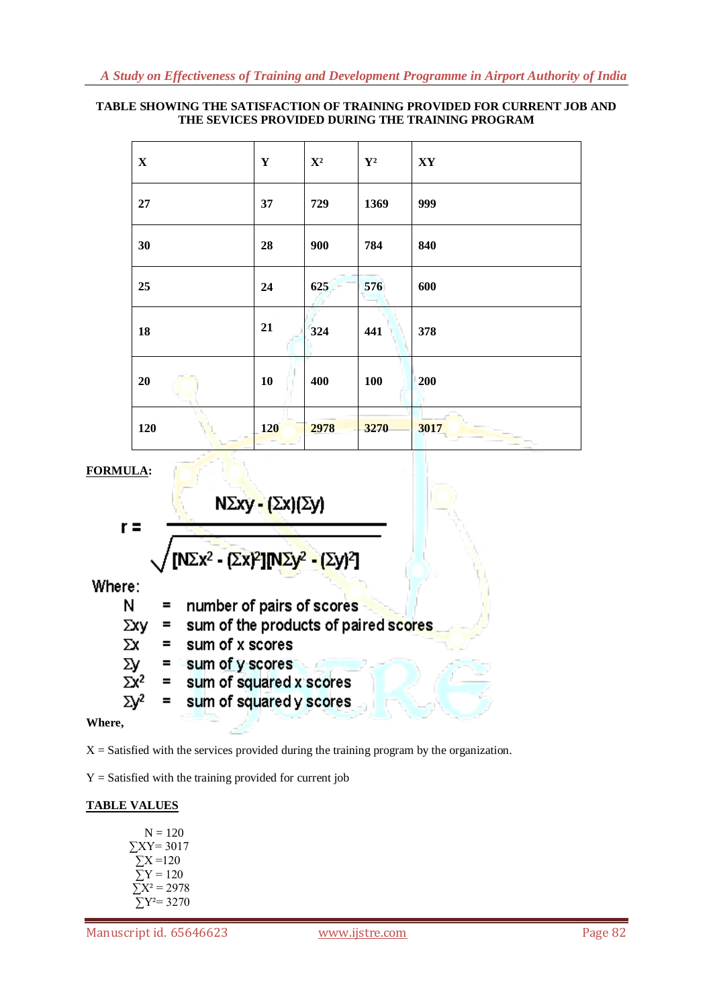### **TABLE SHOWING THE SATISFACTION OF TRAINING PROVIDED FOR CURRENT JOB AND THE SEVICES PROVIDED DURING THE TRAINING PROGRAM**

| $\mathbf X$ | $\mathbf Y$ | $\mathbf{X}^2$ | $\mathbf{Y}^{\mathbf{2}}$ | $\mathbf{X}\mathbf{Y}$ |
|-------------|-------------|----------------|---------------------------|------------------------|
| $27\,$      | 37          | 729            | 1369                      | 999                    |
| 30          | 28          | 900            | 784                       | 840                    |
| 25          | 24          | 625            | 576                       | 600                    |
| 18          | 21          | 324            | 441                       | 378                    |
| 20          | 10          | 400            | 100                       | 200                    |
| 120         | 120         | 2978           | 3270                      | 3017                   |

**FORMULA:**

 $r =$ 

$$
N\Sigma xy - (\Sigma x)(\Sigma y)
$$

$$
\sqrt{[N\Sigma x^2 - [\Sigma x]^2] [N\Sigma y^2 - [\Sigma y]^2]}
$$

Where:

number of pairs of scores N  $=$ sum of the products of paired scores Σχγ  $=$  $\Sigma x$  $=$ sum of x scores sum of y scores Σy  $\equiv$  . sum of squared x scores  $\Sigma x^2$  $=$ sum of squared y scores  $\Sigma$ <sup>2</sup>  $\equiv$ 

# **Where,**

 $X =$  Satisfied with the services provided during the training program by the organization.

 $Y =$  Satisfied with the training provided for current job

# **TABLE VALUES**

| $N = 120$                      |
|--------------------------------|
| $\Sigma XY = 3017$             |
| $\Sigma$ X =120                |
| $Y/Y = 120$                    |
| $\Sigma X^2 = 2978$            |
| $\Sigma$ Y <sup>2</sup> = 3270 |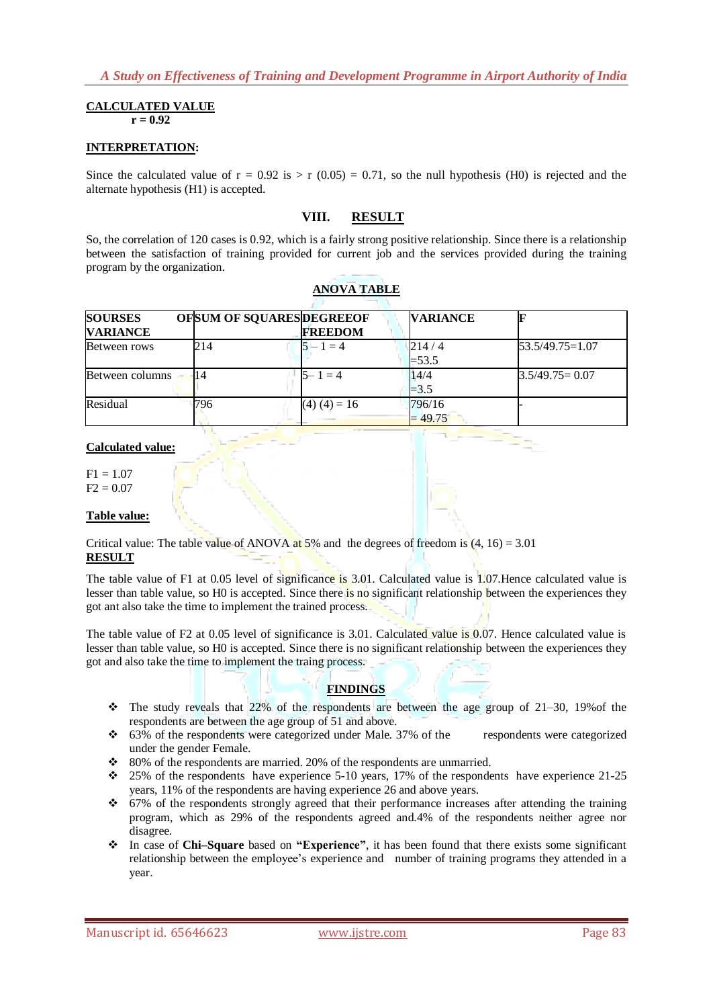### **CALCULATED VALUE**

 $r = 0.92$ 

### **INTERPRETATION:**

Since the calculated value of  $r = 0.92$  is  $> r (0.05) = 0.71$ , so the null hypothesis (H0) is rejected and the alternate hypothesis (H1) is accepted.

# **VIII. RESULT**

So, the correlation of 120 cases is 0.92, which is a fairly strong positive relationship. Since there is a relationship between the satisfaction of training provided for current job and the services provided during the training program by the organization.

| <b>SOURSES</b><br><b>VARIANCE</b> |     | OFSUM OF SQUARESDEGREEOF<br><b>FREEDOM</b> | <b>VARIANCE</b>     |                    |
|-----------------------------------|-----|--------------------------------------------|---------------------|--------------------|
| Between rows                      | 214 | $5 - 1 = 4$                                | 214/4<br>$= 53.5$   | $53.5/49.75=1.07$  |
| Between columns                   | 14  | $5 - 1 = 4$                                | 14/4<br>$= 3.5$     | $3.5/49.75 = 0.07$ |
| Residual                          | 796 | $(4) (4) = 16$                             | 796/16<br>$= 49.75$ |                    |

### **ANOVA TABLE**

### **Calculated value:**

 $F1 = 1.07$  $F2 = 0.07$ 

#### **Table value:**

Critical value: The table value of ANOVA at 5% and the degrees of freedom is  $(4, 16) = 3.01$ **RESULT**

The table value of F1 at 0.05 level of significance is 3.01. Calculated value is 1.07. Hence calculated value is lesser than table value, so H0 is accepted. Since there is no significant relationship between the experiences they got ant also take the time to implement the trained process.

The table value of F2 at 0.05 level of significance is 3.01. Calculated value is 0.07. Hence calculated value is lesser than table value, so H0 is accepted. Since there is no significant relationship between the experiences they got and also take the time to implement the traing process.

#### **FINDINGS**

- $\div$  The study reveals that 22% of the respondents are between the age group of 21–30, 19% of the respondents are between the age group of 51 and above.
- 63% of the respondents were categorized under Male. 37% of the respondents were categorized under the gender Female.
- $\div$  80% of the respondents are married. 20% of the respondents are unmarried.
- $\div$  25% of the respondents have experience 5-10 years, 17% of the respondents have experience 21-25 years, 11% of the respondents are having experience 26 and above years.
- 67% of the respondents strongly agreed that their performance increases after attending the training program, which as 29% of the respondents agreed and.4% of the respondents neither agree nor disagree.
- In case of **Chi–Square** based on **"Experience"**, it has been found that there exists some significant relationship between the employee"s experience and number of training programs they attended in a year.